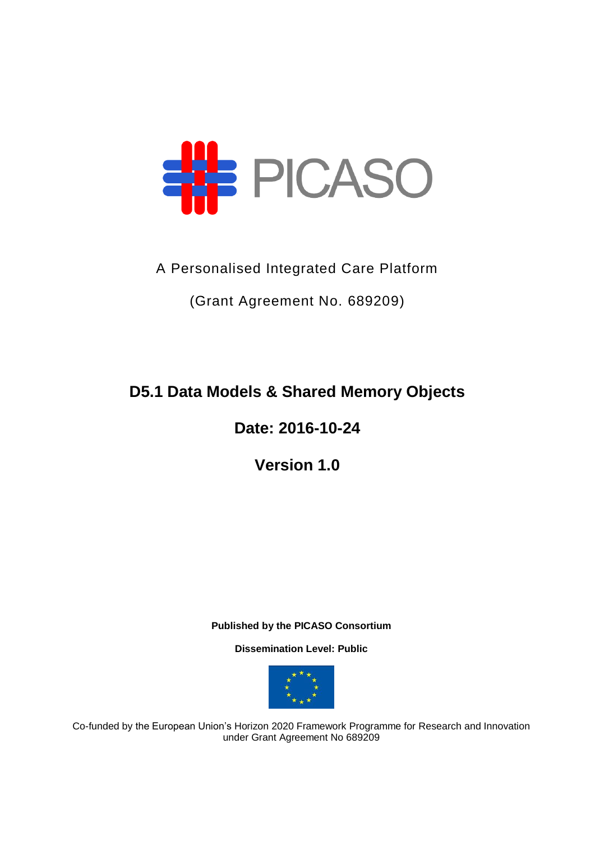

A Personalised Integrated Care Platform

(Grant Agreement No. 689209)

**D5.1 Data Models & Shared Memory Objects**

**Date: 2016-10-24**

**Version 1.0**

**Published by the PICASO Consortium** 

**Dissemination Level: Public**



Co-funded by the European Union's Horizon 2020 Framework Programme for Research and Innovation under Grant Agreement No 689209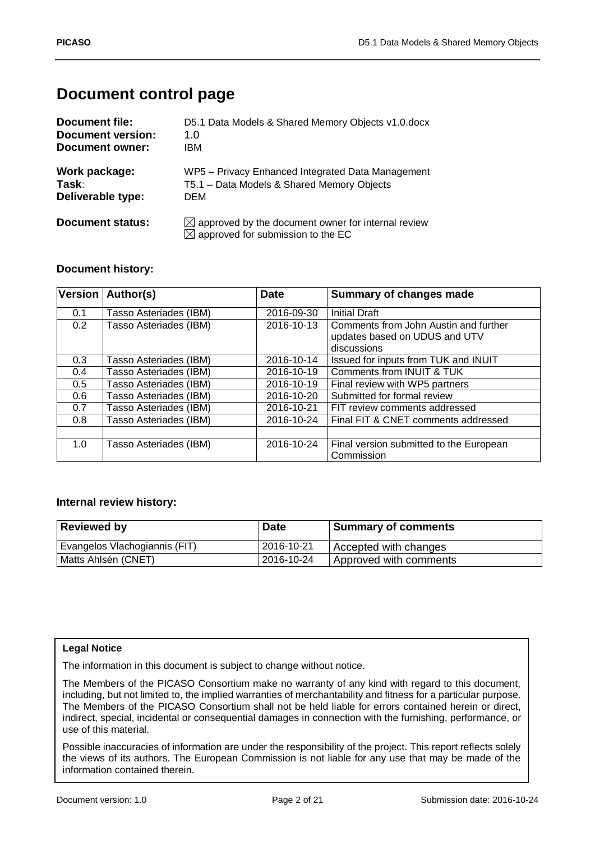# **Document control page**

| Document file:           | D5.1 Data Models & Shared Memory Objects v1.0.docx                                                              |
|--------------------------|-----------------------------------------------------------------------------------------------------------------|
| <b>Document version:</b> | 1.0                                                                                                             |
| Document owner:          | IBM                                                                                                             |
| Work package:            | WP5 - Privacy Enhanced Integrated Data Management                                                               |
| Task:                    | T5.1 - Data Models & Shared Memory Objects                                                                      |
| Deliverable type:        | DEM                                                                                                             |
| Document status:         | $\boxtimes$ approved by the document owner for internal review<br>$\boxtimes$ approved for submission to the EC |

### **Document history:**

|     | Version   Author(s)    | <b>Date</b> | <b>Summary of changes made</b>                                                        |
|-----|------------------------|-------------|---------------------------------------------------------------------------------------|
| 0.1 | Tasso Asteriades (IBM) | 2016-09-30  | <b>Initial Draft</b>                                                                  |
| 0.2 | Tasso Asteriades (IBM) | 2016-10-13  | Comments from John Austin and further<br>updates based on UDUS and UTV<br>discussions |
| 0.3 | Tasso Asteriades (IBM) | 2016-10-14  | Issued for inputs from TUK and INUIT                                                  |
| 0.4 | Tasso Asteriades (IBM) | 2016-10-19  | Comments from INUIT & TUK                                                             |
| 0.5 | Tasso Asteriades (IBM) | 2016-10-19  | Final review with WP5 partners                                                        |
| 0.6 | Tasso Asteriades (IBM) | 2016-10-20  | Submitted for formal review                                                           |
| 0.7 | Tasso Asteriades (IBM) | 2016-10-21  | FIT review comments addressed                                                         |
| 0.8 | Tasso Asteriades (IBM) | 2016-10-24  | Final FIT & CNET comments addressed                                                   |
|     |                        |             |                                                                                       |
| 1.0 | Tasso Asteriades (IBM) | 2016-10-24  | Final version submitted to the European<br>Commission                                 |

### **Internal review history:**

| <b>Reviewed by</b>            | <b>Date</b> | <b>Summary of comments</b> |
|-------------------------------|-------------|----------------------------|
| Evangelos Vlachogiannis (FIT) | 2016-10-21  | Accepted with changes      |
| Matts Ahlsén (CNET)           | 2016-10-24  | Approved with comments     |

#### **Legal Notice**

The information in this document is subject to change without notice.

The Members of the PICASO Consortium make no warranty of any kind with regard to this document, including, but not limited to, the implied warranties of merchantability and fitness for a particular purpose. The Members of the PICASO Consortium shall not be held liable for errors contained herein or direct, indirect, special, incidental or consequential damages in connection with the furnishing, performance, or use of this material.

Possible inaccuracies of information are under the responsibility of the project. This report reflects solely the views of its authors. The European Commission is not liable for any use that may be made of the information contained therein.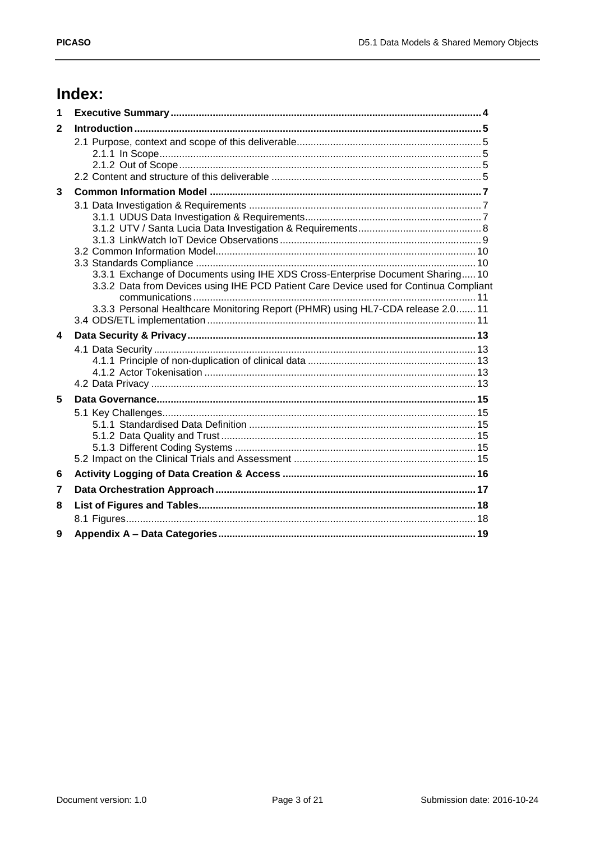# Index:

| 1                |                                                                                       |  |
|------------------|---------------------------------------------------------------------------------------|--|
| $\mathbf{2}$     |                                                                                       |  |
|                  |                                                                                       |  |
|                  |                                                                                       |  |
|                  |                                                                                       |  |
| $\mathbf{3}$     |                                                                                       |  |
|                  |                                                                                       |  |
|                  |                                                                                       |  |
|                  |                                                                                       |  |
|                  |                                                                                       |  |
|                  |                                                                                       |  |
|                  | 3.3.1 Exchange of Documents using IHE XDS Cross-Enterprise Document Sharing 10        |  |
|                  | 3.3.2 Data from Devices using IHE PCD Patient Care Device used for Continua Compliant |  |
|                  |                                                                                       |  |
|                  | 3.3.3 Personal Healthcare Monitoring Report (PHMR) using HL7-CDA release 2.0 11       |  |
| $\blacktriangle$ |                                                                                       |  |
|                  |                                                                                       |  |
|                  |                                                                                       |  |
|                  |                                                                                       |  |
|                  |                                                                                       |  |
| 5                |                                                                                       |  |
|                  |                                                                                       |  |
|                  |                                                                                       |  |
|                  |                                                                                       |  |
|                  |                                                                                       |  |
| 6                |                                                                                       |  |
| 7                |                                                                                       |  |
| 8                |                                                                                       |  |
|                  |                                                                                       |  |
| 9                |                                                                                       |  |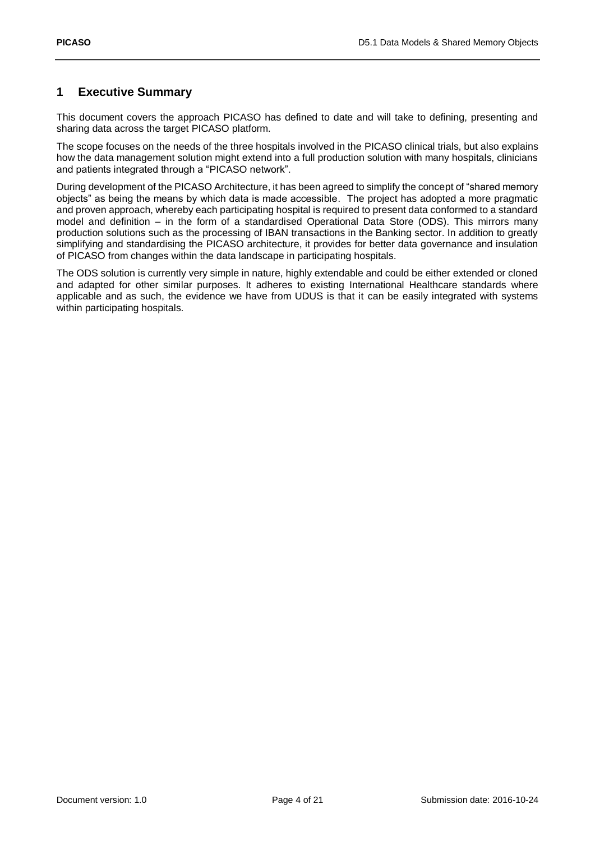## <span id="page-3-0"></span>**1 Executive Summary**

This document covers the approach PICASO has defined to date and will take to defining, presenting and sharing data across the target PICASO platform.

The scope focuses on the needs of the three hospitals involved in the PICASO clinical trials, but also explains how the data management solution might extend into a full production solution with many hospitals, clinicians and patients integrated through a "PICASO network".

During development of the PICASO Architecture, it has been agreed to simplify the concept of "shared memory objects" as being the means by which data is made accessible. The project has adopted a more pragmatic and proven approach, whereby each participating hospital is required to present data conformed to a standard model and definition – in the form of a standardised Operational Data Store (ODS). This mirrors many production solutions such as the processing of IBAN transactions in the Banking sector. In addition to greatly simplifying and standardising the PICASO architecture, it provides for better data governance and insulation of PICASO from changes within the data landscape in participating hospitals.

The ODS solution is currently very simple in nature, highly extendable and could be either extended or cloned and adapted for other similar purposes. It adheres to existing International Healthcare standards where applicable and as such, the evidence we have from UDUS is that it can be easily integrated with systems within participating hospitals.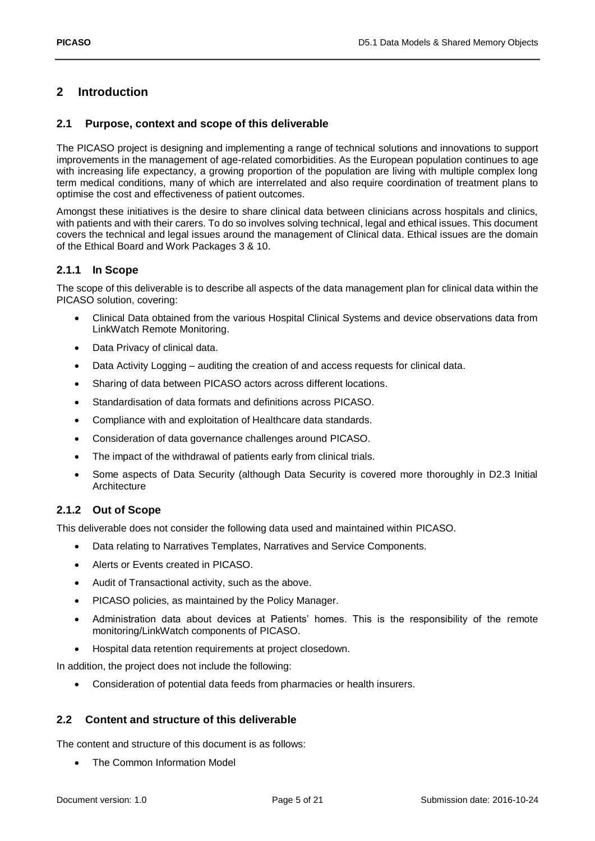# <span id="page-4-0"></span>**2 Introduction**

#### <span id="page-4-1"></span>**2.1 Purpose, context and scope of this deliverable**

The PICASO project is designing and implementing a range of technical solutions and innovations to support improvements in the management of age-related comorbidities. As the European population continues to age with increasing life expectancy, a growing proportion of the population are living with multiple complex long term medical conditions, many of which are interrelated and also require coordination of treatment plans to optimise the cost and effectiveness of patient outcomes.

Amongst these initiatives is the desire to share clinical data between clinicians across hospitals and clinics, with patients and with their carers. To do so involves solving technical, legal and ethical issues. This document covers the technical and legal issues around the management of Clinical data. Ethical issues are the domain of the Ethical Board and Work Packages 3 & 10.

### <span id="page-4-2"></span>**2.1.1 In Scope**

The scope of this deliverable is to describe all aspects of the data management plan for clinical data within the PICASO solution, covering:

- Clinical Data obtained from the various Hospital Clinical Systems and device observations data from LinkWatch Remote Monitoring.
- Data Privacy of clinical data.
- Data Activity Logging auditing the creation of and access requests for clinical data.
- Sharing of data between PICASO actors across different locations.
- Standardisation of data formats and definitions across PICASO.
- Compliance with and exploitation of Healthcare data standards.
- Consideration of data governance challenges around PICASO.
- The impact of the withdrawal of patients early from clinical trials.
- Some aspects of Data Security (although Data Security is covered more thoroughly in D2.3 Initial Architecture

#### <span id="page-4-3"></span>**2.1.2 Out of Scope**

This deliverable does not consider the following data used and maintained within PICASO.

- Data relating to Narratives Templates, Narratives and Service Components.
- Alerts or Events created in PICASO.
- Audit of Transactional activity, such as the above.
- PICASO policies, as maintained by the Policy Manager.
- Administration data about devices at Patients' homes. This is the responsibility of the remote monitoring/LinkWatch components of PICASO.
- Hospital data retention requirements at project closedown.

In addition, the project does not include the following:

Consideration of potential data feeds from pharmacies or health insurers.

#### <span id="page-4-4"></span>**2.2 Content and structure of this deliverable**

The content and structure of this document is as follows:

The Common Information Model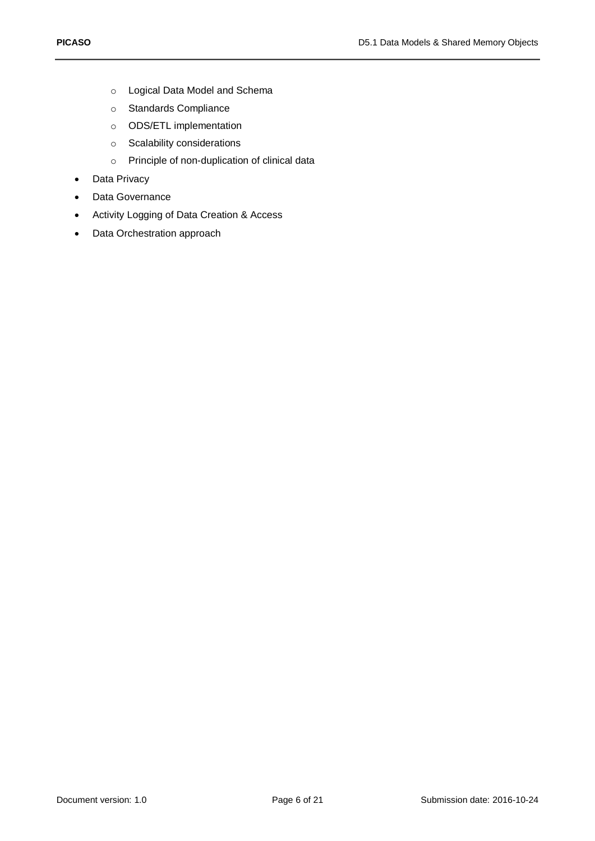- o Logical Data Model and Schema
- o Standards Compliance
- o ODS/ETL implementation
- o Scalability considerations
- o Principle of non-duplication of clinical data
- Data Privacy
- Data Governance
- Activity Logging of Data Creation & Access
- Data Orchestration approach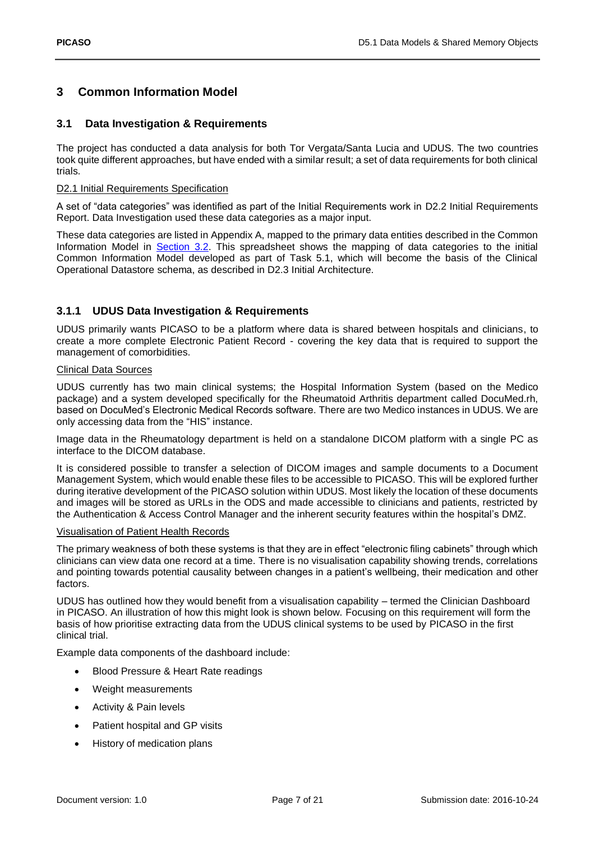## <span id="page-6-0"></span>**3 Common Information Model**

#### <span id="page-6-1"></span>**3.1 Data Investigation & Requirements**

The project has conducted a data analysis for both Tor Vergata/Santa Lucia and UDUS. The two countries took quite different approaches, but have ended with a similar result; a set of data requirements for both clinical trials.

#### D2.1 Initial Requirements Specification

A set of "data categories" was identified as part of the Initial Requirements work in D2.2 Initial Requirements Report. Data Investigation used these data categories as a major input.

These data categories are listed in Appendix A, mapped to the primary data entities described in the Common Information Model in [Section 3.2.](#page-6-0) This spreadsheet shows the mapping of data categories to the initial Common Information Model developed as part of Task 5.1, which will become the basis of the Clinical Operational Datastore schema, as described in D2.3 Initial Architecture.

### <span id="page-6-2"></span>**3.1.1 UDUS Data Investigation & Requirements**

UDUS primarily wants PICASO to be a platform where data is shared between hospitals and clinicians, to create a more complete Electronic Patient Record - covering the key data that is required to support the management of comorbidities.

#### Clinical Data Sources

UDUS currently has two main clinical systems; the Hospital Information System (based on the Medico package) and a system developed specifically for the Rheumatoid Arthritis department called DocuMed.rh, based on DocuMed's Electronic Medical Records software. There are two Medico instances in UDUS. We are only accessing data from the "HIS" instance.

Image data in the Rheumatology department is held on a standalone DICOM platform with a single PC as interface to the DICOM database.

It is considered possible to transfer a selection of DICOM images and sample documents to a Document Management System, which would enable these files to be accessible to PICASO. This will be explored further during iterative development of the PICASO solution within UDUS. Most likely the location of these documents and images will be stored as URLs in the ODS and made accessible to clinicians and patients, restricted by the Authentication & Access Control Manager and the inherent security features within the hospital's DMZ.

#### Visualisation of Patient Health Records

The primary weakness of both these systems is that they are in effect "electronic filing cabinets" through which clinicians can view data one record at a time. There is no visualisation capability showing trends, correlations and pointing towards potential causality between changes in a patient's wellbeing, their medication and other factors.

UDUS has outlined how they would benefit from a visualisation capability – termed the Clinician Dashboard in PICASO. An illustration of how this might look is shown below. Focusing on this requirement will form the basis of how prioritise extracting data from the UDUS clinical systems to be used by PICASO in the first clinical trial.

Example data components of the dashboard include:

- Blood Pressure & Heart Rate readings
- Weight measurements
- Activity & Pain levels
- Patient hospital and GP visits
- History of medication plans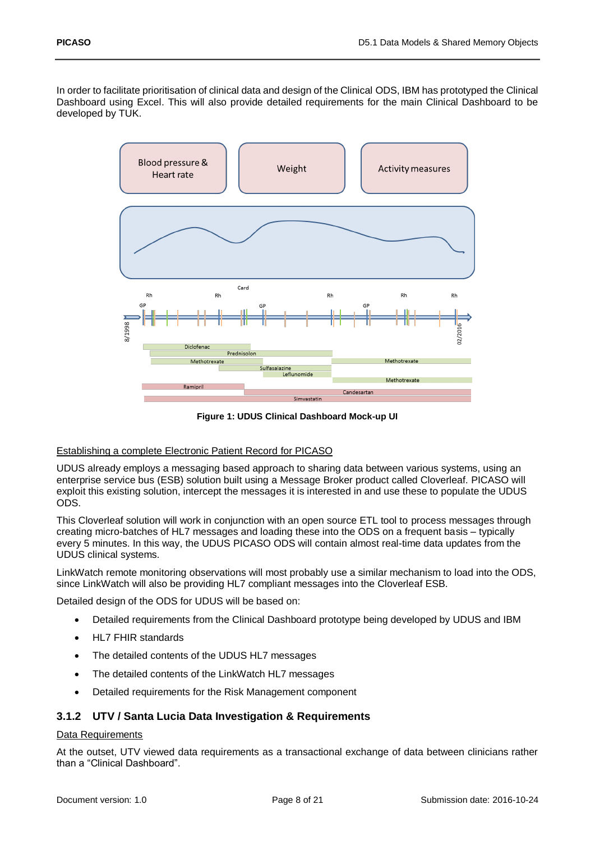In order to facilitate prioritisation of clinical data and design of the Clinical ODS, IBM has prototyped the Clinical Dashboard using Excel. This will also provide detailed requirements for the main Clinical Dashboard to be developed by TUK.



**Figure 1: UDUS Clinical Dashboard Mock-up UI**

#### <span id="page-7-1"></span>Establishing a complete Electronic Patient Record for PICASO

UDUS already employs a messaging based approach to sharing data between various systems, using an enterprise service bus (ESB) solution built using a Message Broker product called Cloverleaf. PICASO will exploit this existing solution, intercept the messages it is interested in and use these to populate the UDUS ODS.

This Cloverleaf solution will work in conjunction with an open source ETL tool to process messages through creating micro-batches of HL7 messages and loading these into the ODS on a frequent basis – typically every 5 minutes. In this way, the UDUS PICASO ODS will contain almost real-time data updates from the UDUS clinical systems.

LinkWatch remote monitoring observations will most probably use a similar mechanism to load into the ODS, since LinkWatch will also be providing HL7 compliant messages into the Cloverleaf ESB.

Detailed design of the ODS for UDUS will be based on:

- Detailed requirements from the Clinical Dashboard prototype being developed by UDUS and IBM
- HL7 FHIR standards
- The detailed contents of the UDUS HL7 messages
- The detailed contents of the LinkWatch HL7 messages
- Detailed requirements for the Risk Management component

#### <span id="page-7-0"></span>**3.1.2 UTV / Santa Lucia Data Investigation & Requirements**

#### Data Requirements

At the outset, UTV viewed data requirements as a transactional exchange of data between clinicians rather than a "Clinical Dashboard".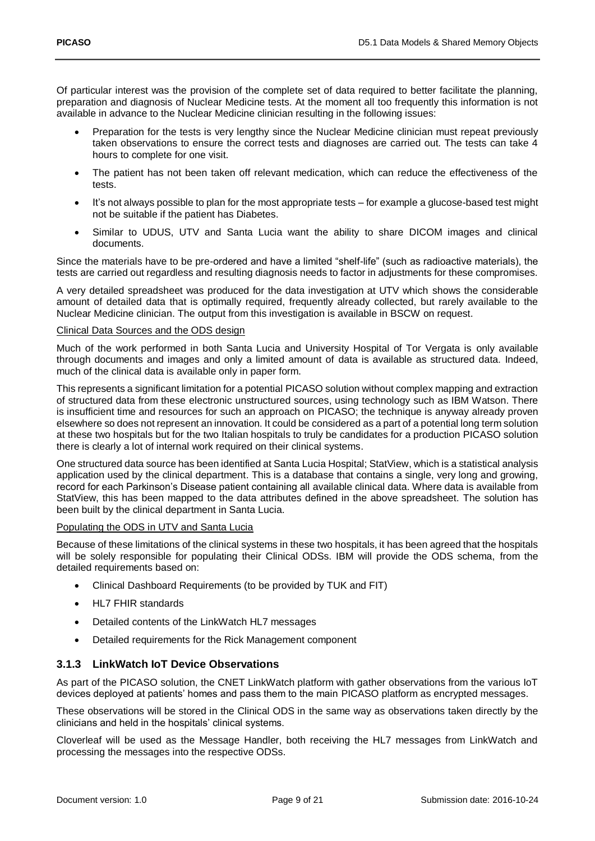Of particular interest was the provision of the complete set of data required to better facilitate the planning, preparation and diagnosis of Nuclear Medicine tests. At the moment all too frequently this information is not available in advance to the Nuclear Medicine clinician resulting in the following issues:

- Preparation for the tests is very lengthy since the Nuclear Medicine clinician must repeat previously taken observations to ensure the correct tests and diagnoses are carried out. The tests can take 4 hours to complete for one visit.
- The patient has not been taken off relevant medication, which can reduce the effectiveness of the tests.
- It's not always possible to plan for the most appropriate tests for example a glucose-based test might not be suitable if the patient has Diabetes.
- Similar to UDUS, UTV and Santa Lucia want the ability to share DICOM images and clinical documents.

Since the materials have to be pre-ordered and have a limited "shelf-life" (such as radioactive materials), the tests are carried out regardless and resulting diagnosis needs to factor in adjustments for these compromises.

A very detailed spreadsheet was produced for the data investigation at UTV which shows the considerable amount of detailed data that is optimally required, frequently already collected, but rarely available to the Nuclear Medicine clinician. The output from this investigation is available in BSCW on request.

#### Clinical Data Sources and the ODS design

Much of the work performed in both Santa Lucia and University Hospital of Tor Vergata is only available through documents and images and only a limited amount of data is available as structured data. Indeed, much of the clinical data is available only in paper form.

This represents a significant limitation for a potential PICASO solution without complex mapping and extraction of structured data from these electronic unstructured sources, using technology such as IBM Watson. There is insufficient time and resources for such an approach on PICASO; the technique is anyway already proven elsewhere so does not represent an innovation. It could be considered as apart of a potential long term solution at these two hospitals but for the two Italian hospitals to truly be candidates for a production PICASO solution there is clearly a lot of internal work required on their clinical systems.

One structured data source has been identified at Santa Lucia Hospital; StatView, which is a statistical analysis application used by the clinical department. This is a database that contains a single, very long and growing, record for each Parkinson's Disease patient containing all available clinical data. Where data is available from StatView, this has been mapped to the data attributes defined in the above spreadsheet. The solution has been built by the clinical department in Santa Lucia.

#### Populating the ODS in UTV and Santa Lucia

Because of these limitations of the clinical systems in these two hospitals, it has been agreed that the hospitals will be solely responsible for populating their Clinical ODSs. IBM will provide the ODS schema, from the detailed requirements based on:

- Clinical Dashboard Requirements (to be provided by TUK and FIT)
- HL7 FHIR standards
- Detailed contents of the LinkWatch HL7 messages
- Detailed requirements for the Rick Management component

### <span id="page-8-0"></span>**3.1.3 LinkWatch IoT Device Observations**

As part of the PICASO solution, the CNET LinkWatch platform with gather observations from the various IoT devices deployed at patients' homes and pass them to the main PICASO platform as encrypted messages.

These observations will be stored in the Clinical ODS in the same way as observations taken directly by the clinicians and held in the hospitals' clinical systems.

Cloverleaf will be used as the Message Handler, both receiving the HL7 messages from LinkWatch and processing the messages into the respective ODSs.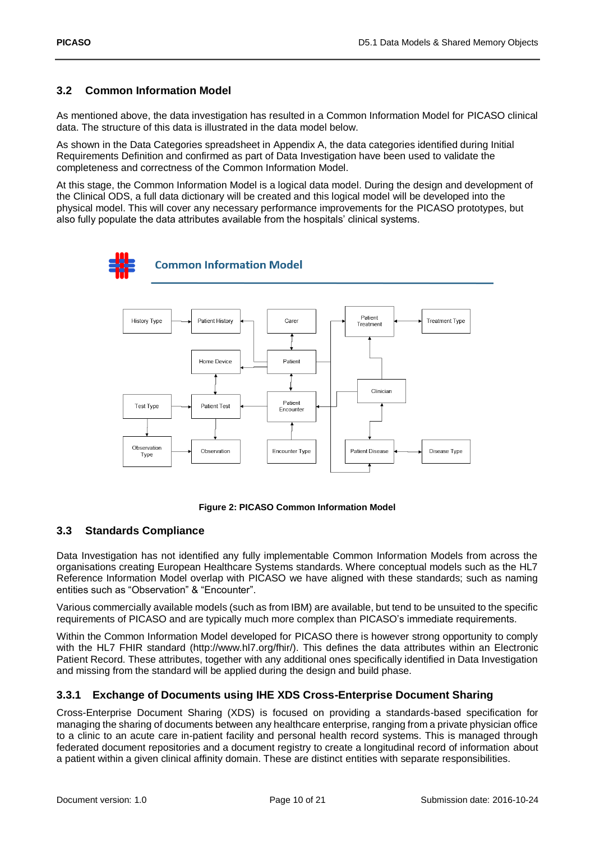### <span id="page-9-0"></span>**3.2 Common Information Model**

As mentioned above, the data investigation has resulted in a Common Information Model for PICASO clinical data. The structure of this data is illustrated in the data model below.

As shown in the Data Categories spreadsheet in Appendix A, the data categories identified during Initial Requirements Definition and confirmed as part of Data Investigation have been used to validate the completeness and correctness of the Common Information Model.

At this stage, the Common Information Model is a logical data model. During the design and development of the Clinical ODS, a full data dictionary will be created and this logical model will be developed into the physical model. This will cover any necessary performance improvements for the PICASO prototypes, but also fully populate the data attributes available from the hospitals' clinical systems.



#### **Figure 2: PICASO Common Information Model**

### <span id="page-9-3"></span><span id="page-9-1"></span>**3.3 Standards Compliance**

Data Investigation has not identified any fully implementable Common Information Models from across the organisations creating European Healthcare Systems standards. Where conceptual models such as the HL7 Reference Information Model overlap with PICASO we have aligned with these standards; such as naming entities such as "Observation" & "Encounter".

Various commercially available models (such as from IBM) are available, but tend to be unsuited to the specific requirements of PICASO and are typically much more complex than PICASO's immediate requirements.

Within the Common Information Model developed for PICASO there is however strong opportunity to comply with the HL7 FHIR standard (http://www.hl7.org/fhir/). This defines the data attributes within an Electronic Patient Record. These attributes, together with any additional ones specifically identified in Data Investigation and missing from the standard will be applied during the design and build phase.

### <span id="page-9-2"></span>**3.3.1 Exchange of Documents using IHE XDS Cross-Enterprise Document Sharing**

Cross-Enterprise Document Sharing (XDS) is focused on providing a standards-based specification for managing the sharing of documents between any healthcare enterprise, ranging from a private physician office to a clinic to an acute care in-patient facility and personal health record systems. This is managed through federated document repositories and a document registry to create a longitudinal record of information about a patient within a given clinical affinity domain. These are distinct entities with separate responsibilities.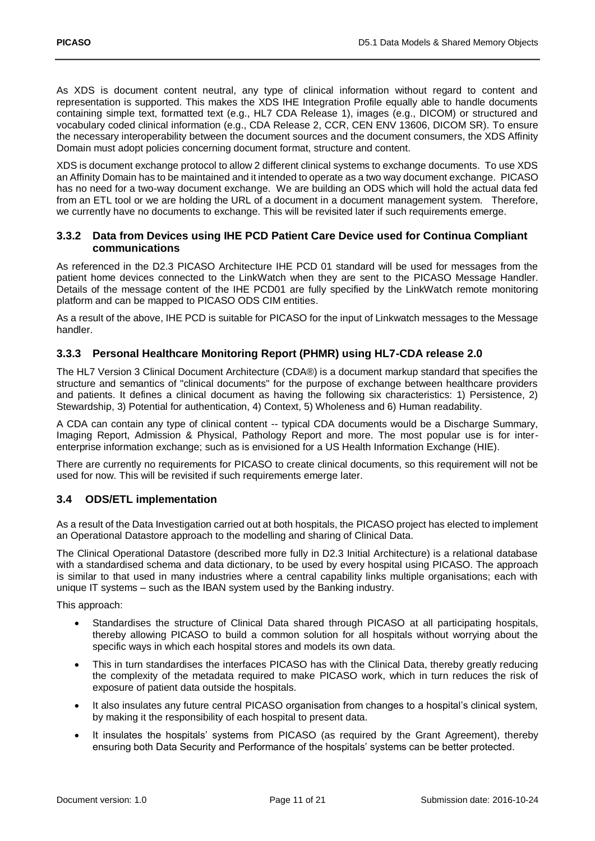As XDS is document content neutral, any type of clinical information without regard to content and representation is supported. This makes the XDS IHE Integration Profile equally able to handle documents containing simple text, formatted text (e.g., HL7 CDA Release 1), images (e.g., DICOM) or structured and vocabulary coded clinical information (e.g., CDA Release 2, CCR, CEN ENV 13606, DICOM SR). To ensure the necessary interoperability between the document sources and the document consumers, the XDS Affinity Domain must adopt policies concerning document format, structure and content.

XDS is document exchange protocol to allow 2 different clinical systems to exchange documents. To use XDS an Affinity Domain has to be maintained and it intended to operate as a two way document exchange. PICASO has no need for a two-way document exchange. We are building an ODS which will hold the actual data fed from an ETL tool or we are holding the URL of a document in a document management system. Therefore, we currently have no documents to exchange. This will be revisited later if such requirements emerge.

#### <span id="page-10-0"></span>**3.3.2 Data from Devices using IHE PCD Patient Care Device used for Continua Compliant communications**

As referenced in the D2.3 PICASO Architecture IHE PCD 01 standard will be used for messages from the patient home devices connected to the LinkWatch when they are sent to the PICASO Message Handler. Details of the message content of the IHE PCD01 are fully specified by the LinkWatch remote monitoring platform and can be mapped to PICASO ODS CIM entities.

As a result of the above, IHE PCD is suitable for PICASO for the input of Linkwatch messages to the Message handler.

### <span id="page-10-1"></span>**3.3.3 Personal Healthcare Monitoring Report (PHMR) using HL7-CDA release 2.0**

The HL7 Version 3 Clinical Document Architecture (CDA®) is a document markup standard that specifies the structure and semantics of "clinical documents" for the purpose of exchange between healthcare providers and patients. It defines a clinical document as having the following six characteristics: 1) Persistence, 2) Stewardship, 3) Potential for authentication, 4) Context, 5) Wholeness and 6) Human readability.

A CDA can contain any type of clinical content -- typical CDA documents would be a Discharge Summary, Imaging Report, Admission & Physical, Pathology Report and more. The most popular use is for interenterprise information exchange; such as is envisioned for a US Health Information Exchange (HIE).

There are currently no requirements for PICASO to create clinical documents, so this requirement will not be used for now. This will be revisited if such requirements emerge later.

### <span id="page-10-2"></span>**3.4 ODS/ETL implementation**

As a result of the Data Investigation carried out at both hospitals, the PICASO project has elected to implement an Operational Datastore approach to the modelling and sharing of Clinical Data.

The Clinical Operational Datastore (described more fully in D2.3 Initial Architecture) is a relational database with a standardised schema and data dictionary, to be used by every hospital using PICASO. The approach is similar to that used in many industries where a central capability links multiple organisations; each with unique IT systems – such as the IBAN system used by the Banking industry.

This approach:

- Standardises the structure of Clinical Data shared through PICASO at all participating hospitals, thereby allowing PICASO to build a common solution for all hospitals without worrying about the specific ways in which each hospital stores and models its own data.
- This in turn standardises the interfaces PICASO has with the Clinical Data, thereby greatly reducing the complexity of the metadata required to make PICASO work, which in turn reduces the risk of exposure of patient data outside the hospitals.
- It also insulates any future central PICASO organisation from changes to a hospital's clinical system, by making it the responsibility of each hospital to present data.
- It insulates the hospitals' systems from PICASO (as required by the Grant Agreement), thereby ensuring both Data Security and Performance of the hospitals' systems can be better protected.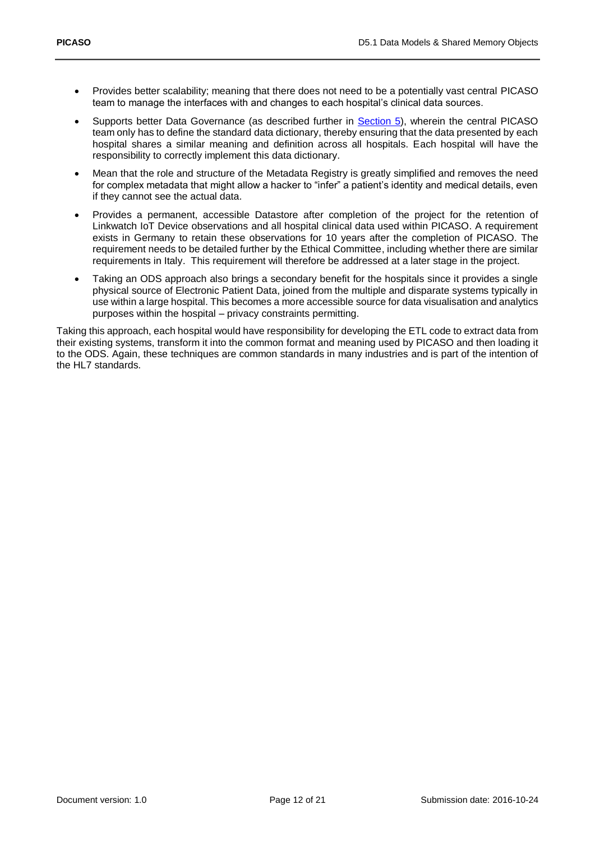- Provides better scalability; meaning that there does not need to be a potentially vast central PICASO team to manage the interfaces with and changes to each hospital's clinical data sources.
- Supports better Data Governance (as described further in [Section 5\)](#page-14-0), wherein the central PICASO team only has to define the standard data dictionary, thereby ensuring that the data presented by each hospital shares a similar meaning and definition across all hospitals. Each hospital will have the responsibility to correctly implement this data dictionary.
- Mean that the role and structure of the Metadata Registry is greatly simplified and removes the need for complex metadata that might allow a hacker to "infer" a patient's identity and medical details, even if they cannot see the actual data.
- Provides a permanent, accessible Datastore after completion of the project for the retention of Linkwatch IoT Device observations and all hospital clinical data used within PICASO. A requirement exists in Germany to retain these observations for 10 years after the completion of PICASO. The requirement needs to be detailed further by the Ethical Committee, including whether there are similar requirements in Italy. This requirement will therefore be addressed at a later stage in the project.
- Taking an ODS approach also brings a secondary benefit for the hospitals since it provides a single physical source of Electronic Patient Data, joined from the multiple and disparate systems typically in use within a large hospital. This becomes a more accessible source for data visualisation and analytics purposes within the hospital – privacy constraints permitting.

Taking this approach, each hospital would have responsibility for developing the ETL code to extract data from their existing systems, transform it into the common format and meaning used by PICASO and then loading it to the ODS. Again, these techniques are common standards in many industries and is part of the intention of the HL7 standards.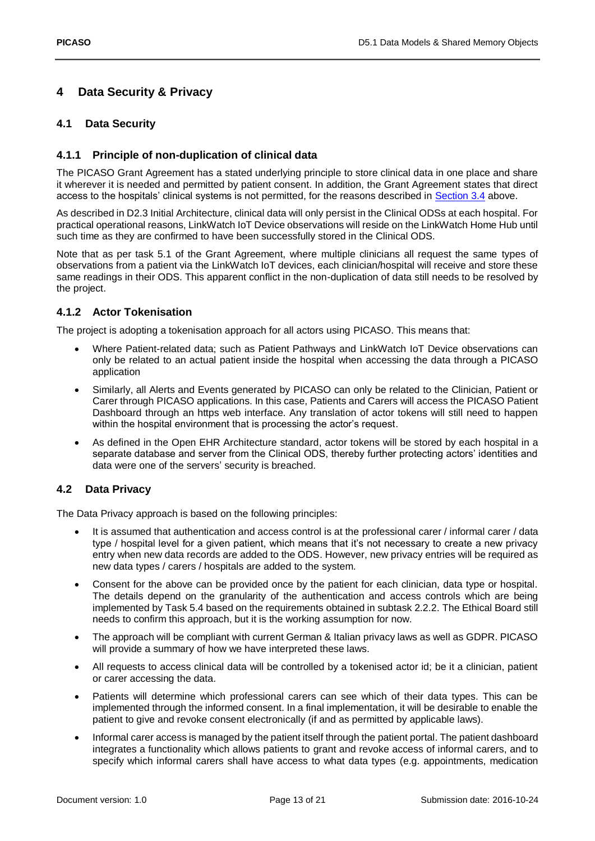## <span id="page-12-0"></span>**4 Data Security & Privacy**

### <span id="page-12-1"></span>**4.1 Data Security**

### <span id="page-12-2"></span>**4.1.1 Principle of non-duplication of clinical data**

The PICASO Grant Agreement has a stated underlying principle to store clinical data in one place and share it wherever it is needed and permitted by patient consent. In addition, the Grant Agreement states that direct access to the hospitals' clinical systems is not permitted, for the reasons described in [Section 3.4](#page-10-2) above.

As described in D2.3 Initial Architecture, clinical data will only persist in the Clinical ODSs at each hospital. For practical operational reasons, LinkWatch IoT Device observations will reside on the LinkWatch Home Hub until such time as they are confirmed to have been successfully stored in the Clinical ODS.

Note that as per task 5.1 of the Grant Agreement, where multiple clinicians all request the same types of observations from a patient via the LinkWatch IoT devices, each clinician/hospital will receive and store these same readings in their ODS. This apparent conflict in the non-duplication of data still needs to be resolved by the project.

### <span id="page-12-3"></span>**4.1.2 Actor Tokenisation**

The project is adopting a tokenisation approach for all actors using PICASO. This means that:

- Where Patient-related data; such as Patient Pathways and LinkWatch IoT Device observations can only be related to an actual patient inside the hospital when accessing the data through a PICASO application
- Similarly, all Alerts and Events generated by PICASO can only be related to the Clinician, Patient or Carer through PICASO applications. In this case, Patients and Carers will access the PICASO Patient Dashboard through an https web interface. Any translation of actor tokens will still need to happen within the hospital environment that is processing the actor's request.
- As defined in the Open EHR Architecture standard, actor tokens will be stored by each hospital in a separate database and server from the Clinical ODS, thereby further protecting actors' identities and data were one of the servers' security is breached.

### <span id="page-12-4"></span>**4.2 Data Privacy**

The Data Privacy approach is based on the following principles:

- It is assumed that authentication and access control is at the professional carer / informal carer / data type / hospital level for a given patient, which means that it's not necessary to create a new privacy entry when new data records are added to the ODS. However, new privacy entries will be required as new data types / carers / hospitals are added to the system.
- Consent for the above can be provided once by the patient for each clinician, data type or hospital. The details depend on the granularity of the authentication and access controls which are being implemented by Task 5.4 based on the requirements obtained in subtask 2.2.2. The Ethical Board still needs to confirm this approach, but it is the working assumption for now.
- The approach will be compliant with current German & Italian privacy laws as well as GDPR. PICASO will provide a summary of how we have interpreted these laws.
- All requests to access clinical data will be controlled by a tokenised actor id; be it a clinician, patient or carer accessing the data.
- Patients will determine which professional carers can see which of their data types. This can be implemented through the informed consent. In a final implementation, it will be desirable to enable the patient to give and revoke consent electronically (if and as permitted by applicable laws).
- Informal carer access is managed by the patient itself through the patient portal. The patient dashboard integrates a functionality which allows patients to grant and revoke access of informal carers, and to specify which informal carers shall have access to what data types (e.g. appointments, medication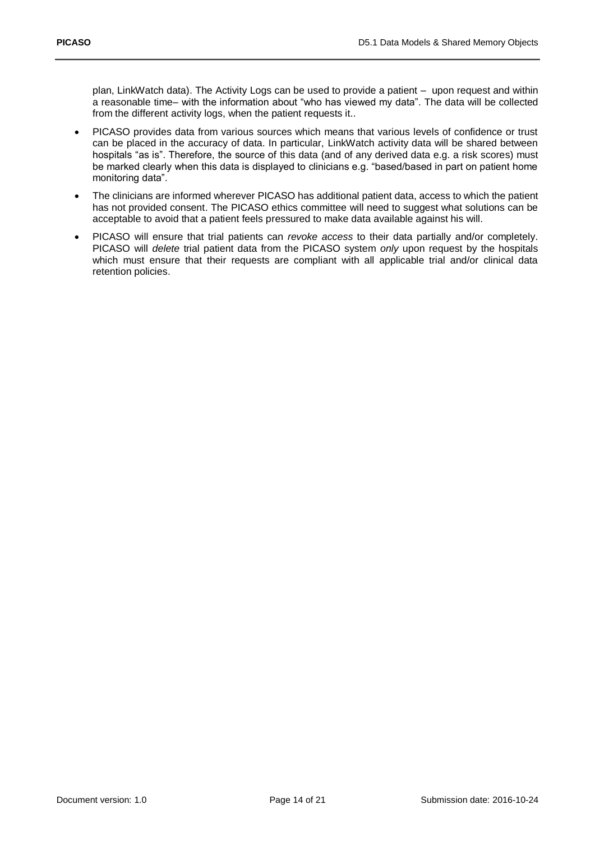plan, LinkWatch data). The Activity Logs can be used to provide a patient – upon request and within a reasonable time– with the information about "who has viewed my data". The data will be collected from the different activity logs, when the patient requests it..

- PICASO provides data from various sources which means that various levels of confidence or trust can be placed in the accuracy of data. In particular, LinkWatch activity data will be shared between hospitals "as is". Therefore, the source of this data (and of any derived data e.g. a risk scores) must be marked clearly when this data is displayed to clinicians e.g. "based/based in part on patient home monitoring data".
- The clinicians are informed wherever PICASO has additional patient data, access to which the patient has not provided consent. The PICASO ethics committee will need to suggest what solutions can be acceptable to avoid that a patient feels pressured to make data available against his will.
- PICASO will ensure that trial patients can *revoke access* to their data partially and/or completely. PICASO will *delete* trial patient data from the PICASO system *only* upon request by the hospitals which must ensure that their requests are compliant with all applicable trial and/or clinical data retention policies.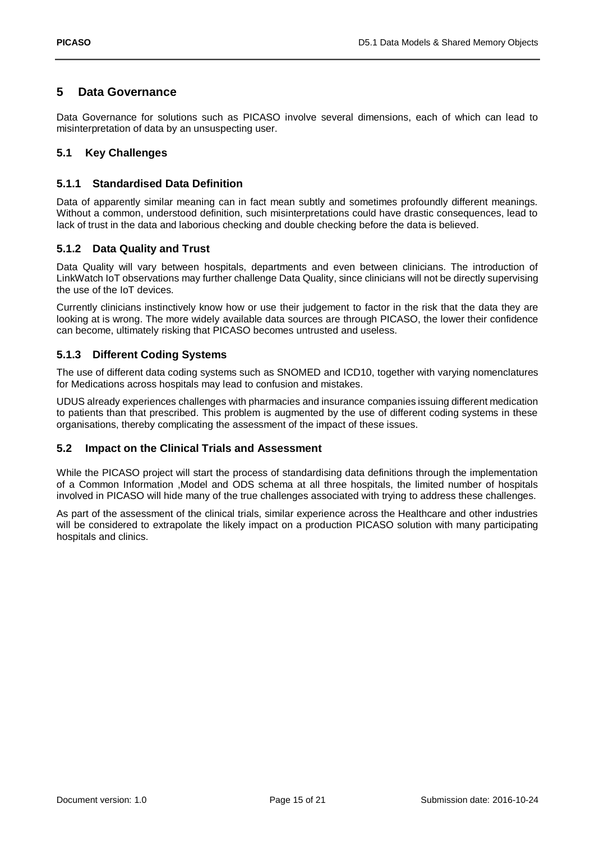### <span id="page-14-0"></span>**5 Data Governance**

Data Governance for solutions such as PICASO involve several dimensions, each of which can lead to misinterpretation of data by an unsuspecting user.

### <span id="page-14-1"></span>**5.1 Key Challenges**

### <span id="page-14-2"></span>**5.1.1 Standardised Data Definition**

Data of apparently similar meaning can in fact mean subtly and sometimes profoundly different meanings. Without a common, understood definition, such misinterpretations could have drastic consequences, lead to lack of trust in the data and laborious checking and double checking before the data is believed.

#### <span id="page-14-3"></span>**5.1.2 Data Quality and Trust**

Data Quality will vary between hospitals, departments and even between clinicians. The introduction of LinkWatch IoT observations may further challenge Data Quality, since clinicians will not be directly supervising the use of the IoT devices.

Currently clinicians instinctively know how or use their judgement to factor in the risk that the data they are looking at is wrong. The more widely available data sources are through PICASO, the lower their confidence can become, ultimately risking that PICASO becomes untrusted and useless.

#### <span id="page-14-4"></span>**5.1.3 Different Coding Systems**

The use of different data coding systems such as SNOMED and ICD10, together with varying nomenclatures for Medications across hospitals may lead to confusion and mistakes.

UDUS already experiences challenges with pharmacies and insurance companies issuing different medication to patients than that prescribed. This problem is augmented by the use of different coding systems in these organisations, thereby complicating the assessment of the impact of these issues.

#### <span id="page-14-5"></span>**5.2 Impact on the Clinical Trials and Assessment**

While the PICASO project will start the process of standardising data definitions through the implementation of a Common Information ,Model and ODS schema at all three hospitals, the limited number of hospitals involved in PICASO will hide many of the true challenges associated with trying to address these challenges.

As part of the assessment of the clinical trials, similar experience across the Healthcare and other industries will be considered to extrapolate the likely impact on a production PICASO solution with many participating hospitals and clinics.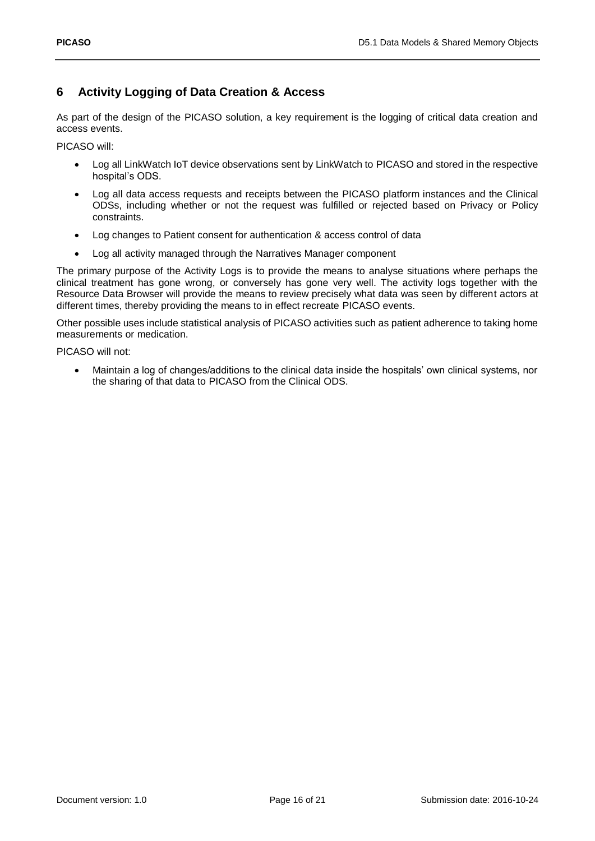## <span id="page-15-0"></span>**6 Activity Logging of Data Creation & Access**

As part of the design of the PICASO solution, a key requirement is the logging of critical data creation and access events.

PICASO will:

- Log all LinkWatch IoT device observations sent by LinkWatch to PICASO and stored in the respective hospital's ODS.
- Log all data access requests and receipts between the PICASO platform instances and the Clinical ODSs, including whether or not the request was fulfilled or rejected based on Privacy or Policy constraints.
- Log changes to Patient consent for authentication & access control of data
- Log all activity managed through the Narratives Manager component

The primary purpose of the Activity Logs is to provide the means to analyse situations where perhaps the clinical treatment has gone wrong, or conversely has gone very well. The activity logs together with the Resource Data Browser will provide the means to review precisely what data was seen by different actors at different times, thereby providing the means to in effect recreate PICASO events.

Other possible uses include statistical analysis of PICASO activities such as patient adherence to taking home measurements or medication.

PICASO will not:

 Maintain a log of changes/additions to the clinical data inside the hospitals' own clinical systems, nor the sharing of that data to PICASO from the Clinical ODS.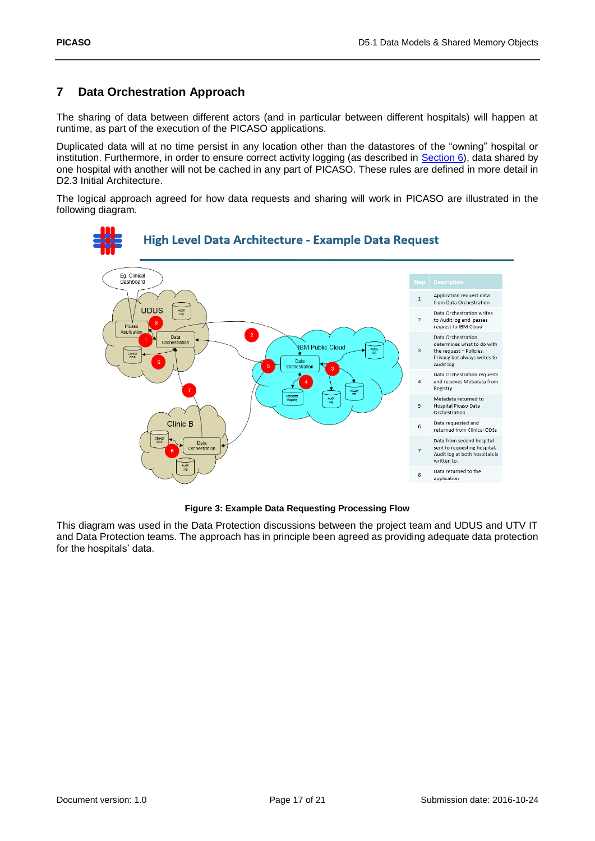# <span id="page-16-0"></span>**7 Data Orchestration Approach**

The sharing of data between different actors (and in particular between different hospitals) will happen at runtime, as part of the execution of the PICASO applications.

Duplicated data will at no time persist in any location other than the datastores of the "owning" hospital or institution. Furthermore, in order to ensure correct activity logging (as described in [Section 6\)](#page-15-0), data shared by one hospital with another will not be cached in any part of PICASO. These rules are defined in more detail in D2.3 Initial Architecture.

The logical approach agreed for how data requests and sharing will work in PICASO are illustrated in the following diagram.



**Figure 3: Example Data Requesting Processing Flow**

<span id="page-16-1"></span>This diagram was used in the Data Protection discussions between the project team and UDUS and UTV IT and Data Protection teams. The approach has in principle been agreed as providing adequate data protection for the hospitals' data.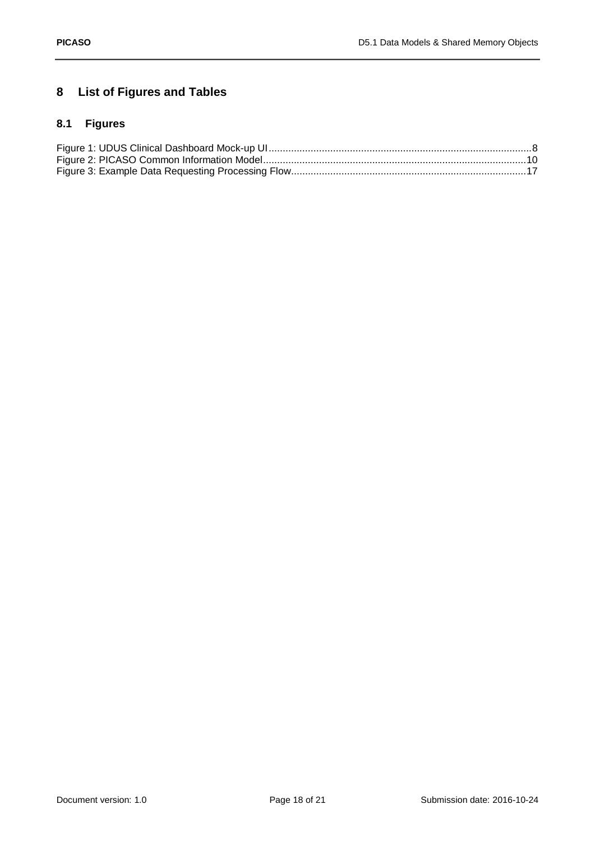# <span id="page-17-0"></span>**8 List of Figures and Tables**

# <span id="page-17-1"></span>**8.1 Figures**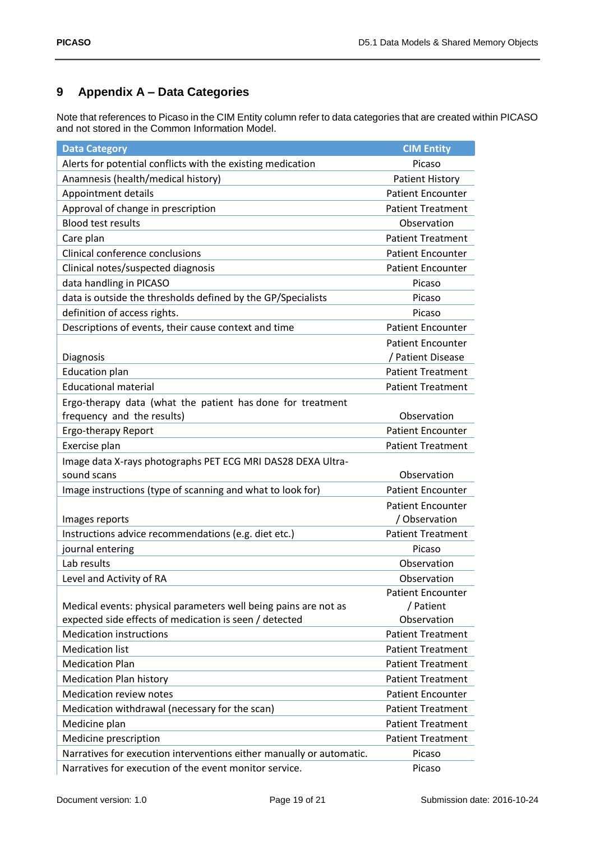# <span id="page-18-0"></span>**9 Appendix A – Data Categories**

Note that references to Picaso in the CIM Entity column refer to data categories that are created within PICASO and not stored in the Common Information Model.

| <b>Data Category</b>                                                 | <b>CIM Entity</b>        |
|----------------------------------------------------------------------|--------------------------|
| Alerts for potential conflicts with the existing medication          | Picaso                   |
| Anamnesis (health/medical history)                                   | <b>Patient History</b>   |
| Appointment details                                                  | <b>Patient Encounter</b> |
| Approval of change in prescription                                   | <b>Patient Treatment</b> |
| <b>Blood test results</b>                                            | Observation              |
| Care plan                                                            | <b>Patient Treatment</b> |
| Clinical conference conclusions                                      | <b>Patient Encounter</b> |
| Clinical notes/suspected diagnosis                                   | <b>Patient Encounter</b> |
| data handling in PICASO                                              | Picaso                   |
| data is outside the thresholds defined by the GP/Specialists         | Picaso                   |
| definition of access rights.                                         | Picaso                   |
| Descriptions of events, their cause context and time                 | <b>Patient Encounter</b> |
|                                                                      | <b>Patient Encounter</b> |
| Diagnosis                                                            | / Patient Disease        |
| <b>Education plan</b>                                                | <b>Patient Treatment</b> |
| <b>Educational material</b>                                          | <b>Patient Treatment</b> |
| Ergo-therapy data (what the patient has done for treatment           |                          |
| frequency and the results)                                           | Observation              |
| Ergo-therapy Report                                                  | <b>Patient Encounter</b> |
| Exercise plan                                                        | <b>Patient Treatment</b> |
| Image data X-rays photographs PET ECG MRI DAS28 DEXA Ultra-          |                          |
| sound scans                                                          | Observation              |
| Image instructions (type of scanning and what to look for)           | <b>Patient Encounter</b> |
|                                                                      | <b>Patient Encounter</b> |
| Images reports                                                       | / Observation            |
| Instructions advice recommendations (e.g. diet etc.)                 | <b>Patient Treatment</b> |
| journal entering                                                     | Picaso                   |
| Lab results                                                          | Observation              |
| Level and Activity of RA                                             | Observation              |
|                                                                      | <b>Patient Encounter</b> |
| Medical events: physical parameters well being pains are not as      | / Patient                |
| expected side effects of medication is seen / detected               | Observation              |
| <b>Medication instructions</b>                                       | <b>Patient Treatment</b> |
| <b>Medication list</b>                                               | <b>Patient Treatment</b> |
| <b>Medication Plan</b>                                               | <b>Patient Treatment</b> |
| <b>Medication Plan history</b>                                       | <b>Patient Treatment</b> |
| Medication review notes                                              | <b>Patient Encounter</b> |
| Medication withdrawal (necessary for the scan)                       | <b>Patient Treatment</b> |
| Medicine plan                                                        | <b>Patient Treatment</b> |
| Medicine prescription                                                | <b>Patient Treatment</b> |
| Narratives for execution interventions either manually or automatic. | Picaso                   |
| Narratives for execution of the event monitor service.               | Picaso                   |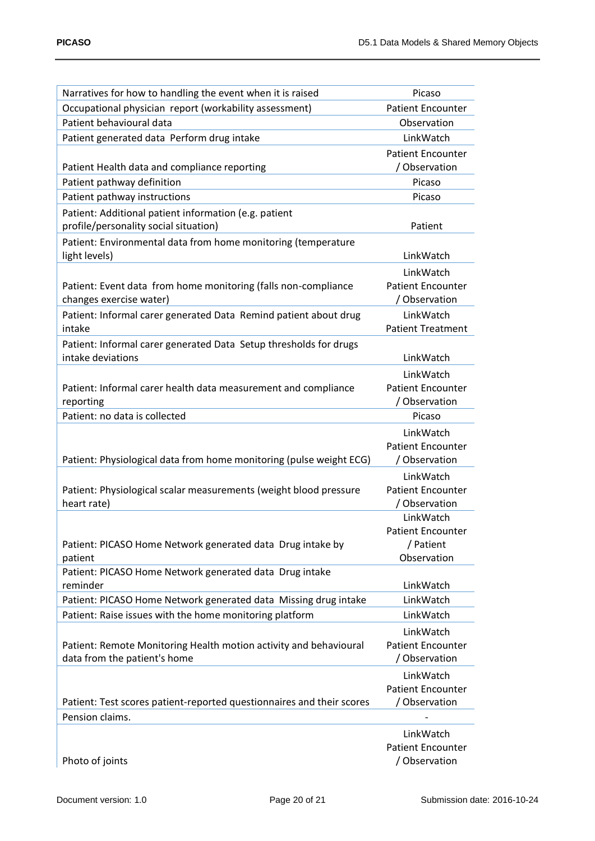| Narratives for how to handling the event when it is raised                                        | Picaso                                    |
|---------------------------------------------------------------------------------------------------|-------------------------------------------|
| Occupational physician report (workability assessment)                                            | <b>Patient Encounter</b>                  |
| Patient behavioural data                                                                          | Observation                               |
| Patient generated data Perform drug intake                                                        | LinkWatch                                 |
|                                                                                                   | <b>Patient Encounter</b>                  |
| Patient Health data and compliance reporting                                                      | / Observation                             |
| Patient pathway definition                                                                        | Picaso                                    |
| Patient pathway instructions                                                                      | Picaso                                    |
| Patient: Additional patient information (e.g. patient                                             |                                           |
| profile/personality social situation)                                                             | Patient                                   |
| Patient: Environmental data from home monitoring (temperature                                     |                                           |
| light levels)                                                                                     | LinkWatch                                 |
|                                                                                                   | LinkWatch                                 |
| Patient: Event data from home monitoring (falls non-compliance                                    | <b>Patient Encounter</b>                  |
| changes exercise water)                                                                           | / Observation                             |
| Patient: Informal carer generated Data Remind patient about drug                                  | LinkWatch                                 |
| intake                                                                                            | <b>Patient Treatment</b>                  |
| Patient: Informal carer generated Data Setup thresholds for drugs                                 |                                           |
| intake deviations                                                                                 | LinkWatch                                 |
|                                                                                                   | LinkWatch                                 |
| Patient: Informal carer health data measurement and compliance                                    | <b>Patient Encounter</b>                  |
| reporting                                                                                         | / Observation                             |
| Patient: no data is collected                                                                     | Picaso                                    |
|                                                                                                   | LinkWatch                                 |
|                                                                                                   | <b>Patient Encounter</b>                  |
| Patient: Physiological data from home monitoring (pulse weight ECG)                               | / Observation                             |
|                                                                                                   | LinkWatch                                 |
| Patient: Physiological scalar measurements (weight blood pressure                                 | <b>Patient Encounter</b>                  |
| heart rate)                                                                                       | / Observation                             |
|                                                                                                   | LinkWatch                                 |
|                                                                                                   | <b>Patient Encounter</b>                  |
| Patient: PICASO Home Network generated data Drug intake by                                        | / Patient                                 |
| patient                                                                                           | Observation                               |
| Patient: PICASO Home Network generated data Drug intake<br>reminder                               | LinkWatch                                 |
| Patient: PICASO Home Network generated data Missing drug intake                                   | LinkWatch                                 |
| Patient: Raise issues with the home monitoring platform                                           | LinkWatch                                 |
|                                                                                                   |                                           |
|                                                                                                   | LinkWatch<br><b>Patient Encounter</b>     |
| Patient: Remote Monitoring Health motion activity and behavioural<br>data from the patient's home | / Observation                             |
|                                                                                                   |                                           |
|                                                                                                   | LinkWatch                                 |
| Patient: Test scores patient-reported questionnaires and their scores                             | <b>Patient Encounter</b><br>/ Observation |
| Pension claims.                                                                                   |                                           |
|                                                                                                   |                                           |
|                                                                                                   | LinkWatch                                 |
|                                                                                                   | <b>Patient Encounter</b>                  |

Photo of joints

Patient Encounter / Observation